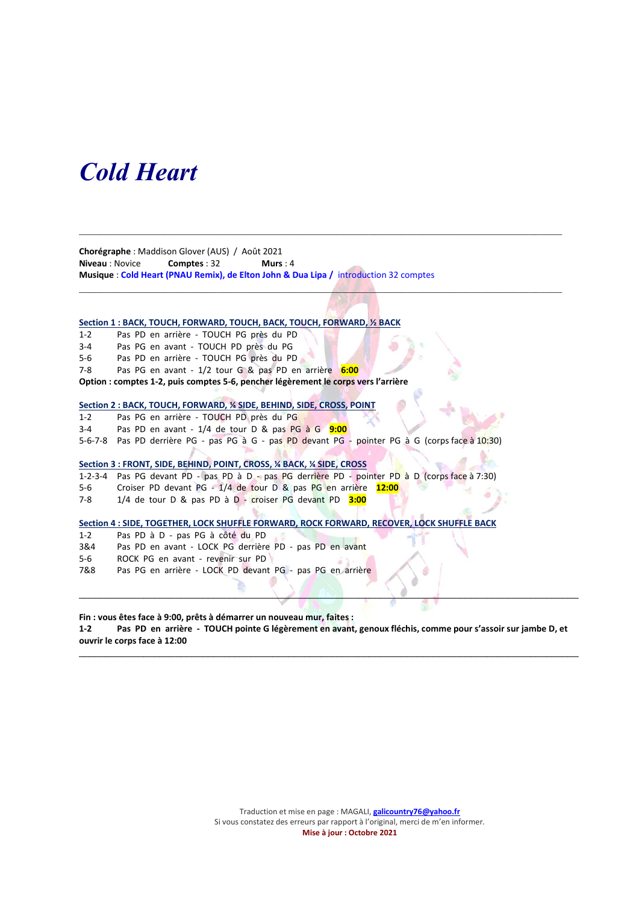## Cold Heart

Chorégraphe : Maddison Glover (AUS) / Août 2021 Niveau : Novice Comptes : 32 Murs : 4 Musique : Cold Heart (PNAU Remix), de Elton John & Dua Lipa / introduction 32 comptes

 $\mathcal{L}_\mathcal{L} = \{ \mathcal{L}_\mathcal{L} = \{ \mathcal{L}_\mathcal{L} = \{ \mathcal{L}_\mathcal{L} = \{ \mathcal{L}_\mathcal{L} = \{ \mathcal{L}_\mathcal{L} = \{ \mathcal{L}_\mathcal{L} = \{ \mathcal{L}_\mathcal{L} = \{ \mathcal{L}_\mathcal{L} = \{ \mathcal{L}_\mathcal{L} = \{ \mathcal{L}_\mathcal{L} = \{ \mathcal{L}_\mathcal{L} = \{ \mathcal{L}_\mathcal{L} = \{ \mathcal{L}_\mathcal{L} = \{ \mathcal{L}_\mathcal{$ 

 $\Box$ 

### Section 1 : BACK, TOUCH, FORWARD, TOUCH, BACK, TOUCH, FORWARD, 1/2 BACK

- 1-2 Pas PD en arrière TOUCH PG près du PD
- 3-4 Pas PG en avant TOUCH PD près du PG
- 5-6 Pas PD en arrière TOUCH PG près du PD
- 7-8 Pas PG en avant 1/2 tour G & pas PD en arrière 6:00
- Option : comptes 1-2, puis comptes 5-6, pencher légèrement le corps vers l'arrière

#### Section 2 : BACK, TOUCH, FORWARD, ¼ SIDE, BEHIND, SIDE, CROSS, POINT

- 1-2 Pas PG en arrière TOUCH PD près du PG
- 3-4 Pas PD en avant  $1/4$  de tour D & pas PG à G  $9:00$
- 5-6-7-8 Pas PD derrière PG pas PG à G pas PD devant PG pointer PG à G (corps face à 10:30)

#### Section 3 : FRONT, SIDE, BEHIND, POINT, CROSS, ¼ BACK, ¼ SIDE, CROSS

- 1-2-3-4 Pas PG devant PD pas PD à D pas PG derrière PD pointer PD à D (corps face à 7:30)
- 5-6 Croiser PD devant PG 1/4 de tour D & pas PG en arrière 12:00
- 7-8 1/4 de tour D & pas PD à D croiser PG devant PD 3:00

#### Section 4 : SIDE, TOGETHER, LOCK SHUFFLE FORWARD, ROCK FORWARD, RECOVER, LOCK SHUFFLE BACK

- 1-2 Pas PD à D pas PG à côté du PD
- 3&4 Pas PD en avant LOCK PG derrière PD pas PD en avant
- 5-6 ROCK PG en avant revenir sur PD
- 7&8 Pas PG en arrière LOCK PD devant PG pas PG en arrière

Fin : vous êtes face à 9:00, prêts à démarrer un nouveau mur, faites :

1-2 Pas PD en arrière - TOUCH pointe G légèrement en avant, genoux fléchis, comme pour s'assoir sur jambe D, et ouvrir le corps face à 12:00

\_\_\_\_\_\_\_\_\_\_\_\_\_\_\_\_\_\_\_\_\_\_\_\_\_\_\_\_\_\_\_\_\_\_\_\_\_\_\_\_\_\_\_\_\_\_\_\_\_\_\_\_\_\_\_\_\_\_\_\_\_\_\_\_\_\_\_\_\_\_\_\_\_\_\_\_\_\_\_\_\_\_\_\_\_\_\_\_\_\_\_\_\_

 $\Box$